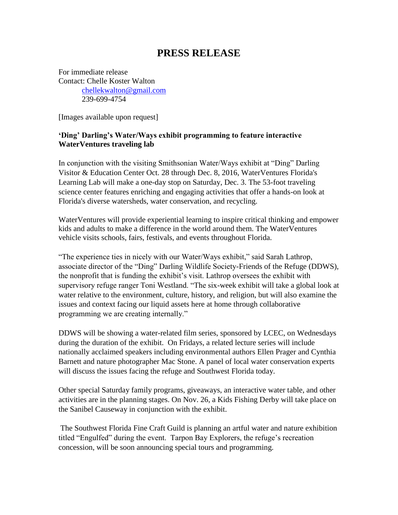## **PRESS RELEASE**

For immediate release Contact: Chelle Koster Walton [chellekwalton@gmail.com](mailto:chellekwalton@gmail.com) 239-699-4754

[Images available upon request]

## **'Ding' Darling's Water/Ways exhibit programming to feature interactive WaterVentures traveling lab**

In conjunction with the visiting Smithsonian Water/Ways exhibit at "Ding" Darling Visitor & Education Center Oct. 28 through Dec. 8, 2016, WaterVentures Florida's Learning Lab will make a one-day stop on Saturday, Dec. 3. The 53-foot traveling science center features enriching and engaging activities that offer a hands-on look at Florida's diverse watersheds, water conservation, and recycling.

WaterVentures will provide experiential learning to inspire critical thinking and empower kids and adults to make a difference in the world around them. The WaterVentures vehicle visits schools, fairs, festivals, and events throughout Florida.

"The experience ties in nicely with our Water/Ways exhibit," said Sarah Lathrop, associate director of the "Ding" Darling Wildlife Society-Friends of the Refuge (DDWS), the nonprofit that is funding the exhibit's visit. Lathrop oversees the exhibit with supervisory refuge ranger Toni Westland. "The six-week exhibit will take a global look at water relative to the environment, culture, history, and religion, but will also examine the issues and context facing our liquid assets here at home through collaborative programming we are creating internally."

DDWS will be showing a water-related film series, sponsored by LCEC, on Wednesdays during the duration of the exhibit. On Fridays, a related lecture series will include nationally acclaimed speakers including environmental authors Ellen Prager and Cynthia Barnett and nature photographer Mac Stone. A panel of local water conservation experts will discuss the issues facing the refuge and Southwest Florida today.

Other special Saturday family programs, giveaways, an interactive water table, and other activities are in the planning stages. On Nov. 26, a Kids Fishing Derby will take place on the Sanibel Causeway in conjunction with the exhibit.

The Southwest Florida Fine Craft Guild is planning an artful water and nature exhibition titled "Engulfed" during the event. Tarpon Bay Explorers, the refuge's recreation concession, will be soon announcing special tours and programming.